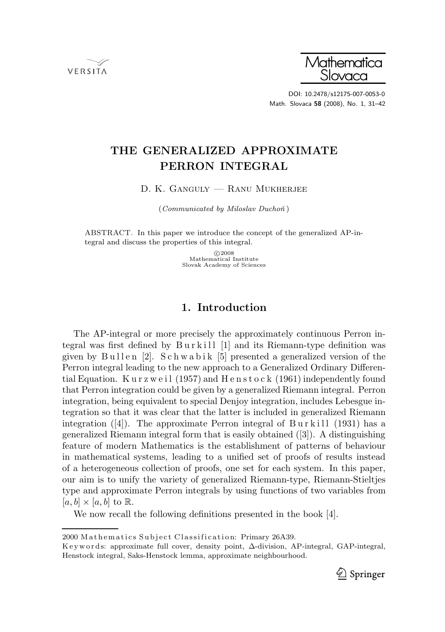



DOI: 10.2478/s12175-007-0053-0 Math. Slovaca 58 (2008), No. 1, 31–42

# THE GENERALIZED APPROXIMATE PERRON INTEGRAL

D. K. Ganguly — Ranu Mukherjee

(Communicated by Miloslav Duchoň)

ABSTRACT. In this paper we introduce the concept of the generalized AP-integral and discuss the properties of this integral.

> c 2008 Mathematical Institute Slovak Academy of Sciences

## 1. Introduction

The AP-integral or more precisely the approximately continuous Perron integral was first defined by Burkill [1] and its Riemann-type definition was given by Bullen [2]. Schwabik [5] presented a generalized version of the Perron integral leading to the new approach to a Generalized Ordinary Differential Equation. Kurzweil (1957) and Henstock (1961) independently found that Perron integration could be given by a generalized Riemann integral. Perron integration, being equivalent to special Denjoy integration, includes Lebesgue integration so that it was clear that the latter is included in generalized Riemann integration  $([4])$ . The approximate Perron integral of Burkill (1931) has a generalized Riemann integral form that is easily obtained ([3]). A distinguishing feature of modern Mathematics is the establishment of patterns of behaviour in mathematical systems, leading to a unified set of proofs of results instead of a heterogeneous collection of proofs, one set for each system. In this paper, our aim is to unify the variety of generalized Riemann-type, Riemann-Stieltjes type and approximate Perron integrals by using functions of two variables from  $[a, b] \times [a, b]$  to R.

We now recall the following definitions presented in the book [4].

K ey w ords: approximate full cover, density point, ∆-division, AP-integral, GAP-integral, Henstock integral, Saks-Henstock lemma, approximate neighbourhood.



<sup>2000</sup> Mathematics Subject Classification: Primary 26A39.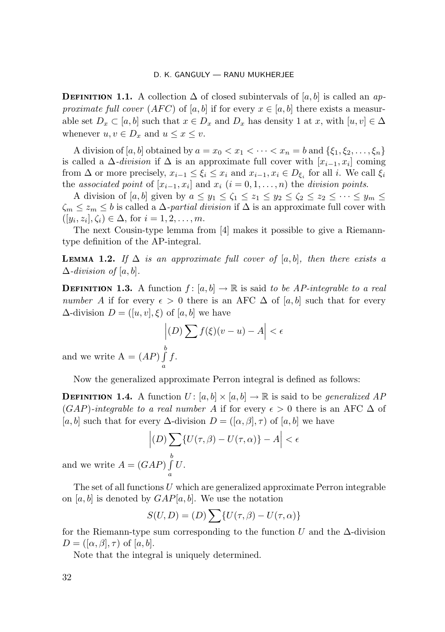**DEFINITION 1.1.** A collection  $\Delta$  of closed subintervals of  $[a, b]$  is called an approximate full cover  $(AFC)$  of [a, b] if for every  $x \in [a, b]$  there exists a measurable set  $D_x \subset [a, b]$  such that  $x \in D_x$  and  $D_x$  has density 1 at x, with  $[u, v] \in \Delta$ whenever  $u, v \in D_x$  and  $u \leq x \leq v$ .

A division of [a, b] obtained by  $a = x_0 < x_1 < \cdots < x_n = b$  and  $\{\xi_1, \xi_2, \ldots, \xi_n\}$ is called a  $\Delta$ -*division* if  $\Delta$  is an approximate full cover with  $[x_{i-1}, x_i]$  coming from  $\Delta$  or more precisely,  $x_{i-1} \leq \xi_i \leq x_i$  and  $x_{i-1}, x_i \in D_{\xi_i}$  for all i. We call  $\xi_i$ the associated point of  $[x_{i-1}, x_i]$  and  $x_i$   $(i = 0, 1, ..., n)$  the division points.

A division of [a, b] given by  $a \leq y_1 \leq \zeta_1 \leq z_1 \leq y_2 \leq \zeta_2 \leq z_2 \leq \cdots \leq y_m \leq$  $\zeta_m \leq z_m \leq b$  is called a  $\Delta$ -partial division if  $\Delta$  is an approximate full cover with  $([y_i, z_i], \zeta_i) \in \Delta$ , for  $i = 1, 2, \ldots, m$ .

The next Cousin-type lemma from [4] makes it possible to give a Riemanntype definition of the AP-integral.

**LEMMA 1.2.** If  $\Delta$  is an approximate full cover of  $[a, b]$ , then there exists a  $\Delta$ -division of [a, b].

**DEFINITION 1.3.** A function  $f : [a, b] \to \mathbb{R}$  is said to be AP-integrable to a real number A if for every  $\epsilon > 0$  there is an AFC  $\Delta$  of [a, b] such that for every  $\Delta$ -division  $D = ([u, v], \xi)$  of [a, b] we have

$$
\left| (D) \sum f(\xi)(v - u) - A \right| < \epsilon
$$
\n
$$
\int_{0}^{b} f.
$$

and we write  $A = (AP) \int f$ . a

Now the generalized approximate Perron integral is defined as follows:

**DEFINITION 1.4.** A function  $U: [a, b] \times [a, b] \rightarrow \mathbb{R}$  is said to be *generalized AP*  $(GAP)$ -integrable to a real number A if for every  $\epsilon > 0$  there is an AFC  $\Delta$  of [a, b] such that for every  $\Delta$ -division  $D = ([\alpha, \beta], \tau)$  of [a, b] we have

$$
\left| (D) \sum_{\sigma} \{ U(\tau, \beta) - U(\tau, \alpha) \} - A \right| < \epsilon
$$
\n
$$
(GAP) \int_{\sigma}^{b} U.
$$

and we write  $A = 0$ a

The set of all functions  $U$  which are generalized approximate Perron integrable on [a, b] is denoted by  $GAP[a, b]$ . We use the notation

$$
S(U, D) = (D) \sum \{ U(\tau, \beta) - U(\tau, \alpha) \}
$$

for the Riemann-type sum corresponding to the function U and the  $\Delta$ -division  $D = ([\alpha, \beta], \tau)$  of  $[a, b]$ .

Note that the integral is uniquely determined.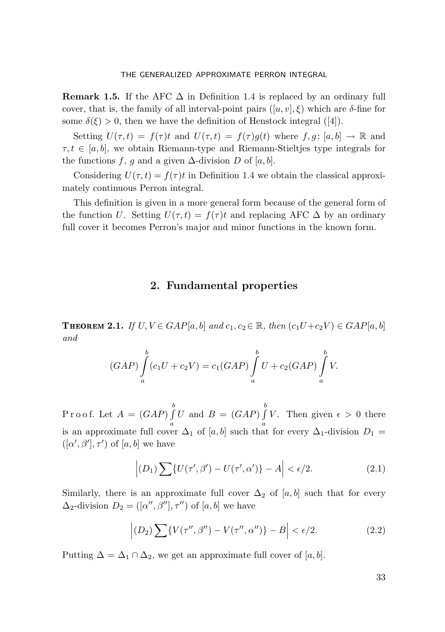**Remark 1.5.** If the AFC  $\Delta$  in Definition 1.4 is replaced by an ordinary full cover, that is, the family of all interval-point pairs  $([u, v], \xi)$  which are  $\delta$ -fine for some  $\delta(\xi) > 0$ , then we have the definition of Henstock integral ([4]).

Setting  $U(\tau, t) = f(\tau)t$  and  $U(\tau, t) = f(\tau)g(t)$  where  $f, g: [a, b] \to \mathbb{R}$  and  $\tau, t \in [a, b]$ , we obtain Riemann-type and Riemann-Stieltjes type integrals for the functions f, g and a given  $\Delta$ -division D of [a, b].

Considering  $U(\tau, t) = f(\tau)t$  in Definition 1.4 we obtain the classical approximately continuous Perron integral.

This definition is given in a more general form because of the general form of the function U. Setting  $U(\tau, t) = f(\tau)t$  and replacing AFC  $\Delta$  by an ordinary full cover it becomes Perron's major and minor functions in the known form.

## 2. Fundamental properties

**THEOREM 2.1.** If  $U, V \in GAP[a, b]$  and  $c_1, c_2 \in \mathbb{R}$ , then  $(c_1U+c_2V) \in GAP[a, b]$ and

$$
(GAP)\int_{a}^{b} (c_{1}U + c_{2}V) = c_{1}(GAP)\int_{a}^{b} U + c_{2}(GAP)\int_{a}^{b} V.
$$

Proof. Let  $A = (GAP) \int^{b}$ a U and  $B = (GAP) \int^{b}$ a V. Then given  $\epsilon > 0$  there is an approximate full cover  $\Delta_1$  of [a, b] such that for every  $\Delta_1$ -division  $D_1$  =  $([\alpha', \beta'], \tau')$  of  $[a, b]$  we have

$$
\left| (D_1) \sum \{ U(\tau', \beta') - U(\tau', \alpha') \} - A \right| < \epsilon/2. \tag{2.1}
$$

Similarly, there is an approximate full cover  $\Delta_2$  of [a, b] such that for every  $\Delta_2$ -division  $D_2 = ([\alpha'', \beta''], \tau'')$  of  $[a, b]$  we have

$$
\left| (D_2) \sum \{ V(\tau'', \beta'') - V(\tau'', \alpha'') \} - B \right| < \epsilon/2. \tag{2.2}
$$

Putting  $\Delta = \Delta_1 \cap \Delta_2$ , we get an approximate full cover of [a, b].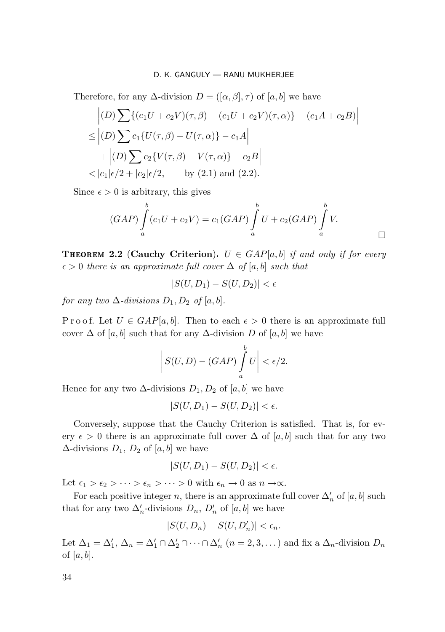Therefore, for any  $\Delta$ -division  $D = ([\alpha, \beta], \tau)$  of  $[a, b]$  we have

$$
\left| (D) \sum \{ (c_1 U + c_2 V)(\tau, \beta) - (c_1 U + c_2 V)(\tau, \alpha) \} - (c_1 A + c_2 B) \right|
$$
  
\n
$$
\leq | (D) \sum c_1 \{ U(\tau, \beta) - U(\tau, \alpha) \} - c_1 A |
$$
  
\n
$$
+ | (D) \sum c_2 \{ V(\tau, \beta) - V(\tau, \alpha) \} - c_2 B |
$$
  
\n
$$
< |c_1| \epsilon/2 + |c_2| \epsilon/2, \quad \text{by (2.1) and (2.2).}
$$

Since  $\epsilon > 0$  is arbitrary, this gives

$$
(GAP)\int_{a}^{b} (c_1U + c_2V) = c_1(GAP)\int_{a}^{b} U + c_2(GAP)\int_{a}^{b} V.
$$

**THEOREM 2.2 (Cauchy Criterion).**  $U \in \text{GAP}[a, b]$  if and only if for every  $\epsilon > 0$  there is an approximate full cover  $\Delta$  of [a, b] such that

$$
|S(U, D_1) - S(U, D_2)| < \epsilon
$$

for any two  $\Delta$ -divisions  $D_1, D_2$  of  $[a, b]$ .

P r o o f. Let  $U \in \text{GAP}[a, b]$ . Then to each  $\epsilon > 0$  there is an approximate full cover  $\Delta$  of [a, b] such that for any  $\Delta$ -division D of [a, b] we have

$$
\left| S(U,D) - (GAP) \int_a^b U \right| < \epsilon/2.
$$

Hence for any two  $\Delta$ -divisions  $D_1, D_2$  of  $[a, b]$  we have

$$
|S(U, D_1) - S(U, D_2)| < \epsilon.
$$

Conversely, suppose that the Cauchy Criterion is satisfied. That is, for every  $\epsilon > 0$  there is an approximate full cover  $\Delta$  of [a, b] such that for any two  $\Delta$ -divisions  $D_1, D_2$  of [a, b] we have

$$
|S(U, D_1) - S(U, D_2)| < \epsilon.
$$

Let  $\epsilon_1 > \epsilon_2 > \cdots > \epsilon_n > \cdots > 0$  with  $\epsilon_n \to 0$  as  $n \to \infty$ .

For each positive integer n, there is an approximate full cover  $\Delta'_{n}$  of  $[a, b]$  such that for any two  $\Delta'_n$ -divisions  $D_n$ ,  $D'_n$  of  $[a, b]$  we have

$$
|S(U,D_n) - S(U,D'_n)| < \epsilon_n.
$$

Let  $\Delta_1 = \Delta'_1$ ,  $\Delta_n = \Delta'_1 \cap \Delta'_2 \cap \cdots \cap \Delta'_n$   $(n = 2, 3, ...)$  and fix a  $\Delta_n$ -division  $D_n$ of [a, b].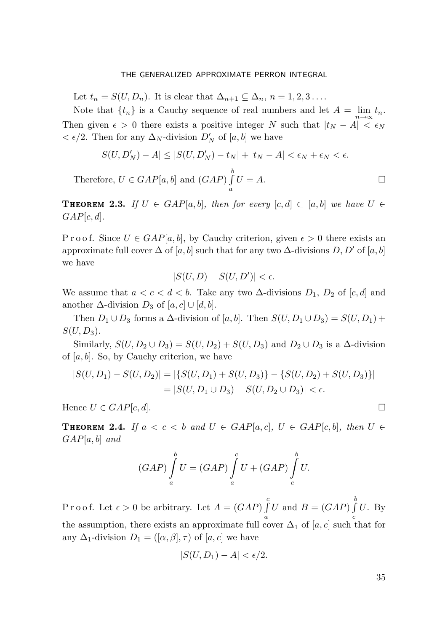Let  $t_n = S(U, D_n)$ . It is clear that  $\Delta_{n+1} \subseteq \Delta_n$ ,  $n = 1, 2, 3 \ldots$ .

Note that  $\{t_n\}$  is a Cauchy sequence of real numbers and let  $A = \lim_{n \to \infty} t_n$ . Then given  $\epsilon > 0$  there exists a positive integer N such that  $|t_N - A| < \epsilon_N$  $\langle \epsilon/2$ . Then for any  $\Delta_N$ -division  $D'_N$  of  $[a, b]$  we have

$$
|S(U,D_N')-A|\leq |S(U,D_N')-t_N|+|t_N-A|<\epsilon_N+\epsilon_N<\epsilon.
$$

Therefore,  $U \in GAP[a, b]$  and  $(GAP) \int_a^b$ a  $U = A.$ 

**THEOREM 2.3.** If  $U \in \text{GAP}[a, b]$ , then for every  $[c, d] \subset [a, b]$  we have  $U \in$  $GAP[c, d].$ 

P r o o f. Since  $U \in \text{GAP}[a, b]$ , by Cauchy criterion, given  $\epsilon > 0$  there exists an approximate full cover  $\Delta$  of [a, b] such that for any two  $\Delta$ -divisions D, D' of [a, b] we have

$$
|S(U,D) - S(U,D')| < \epsilon.
$$

We assume that  $a < c < d < b$ . Take any two  $\Delta$ -divisions  $D_1$ ,  $D_2$  of [c, d] and another  $\Delta$ -division  $D_3$  of  $[a, c] \cup [d, b]$ .

Then  $D_1 \cup D_3$  forms a  $\Delta$ -division of [a, b]. Then  $S(U, D_1 \cup D_3) = S(U, D_1)$  +  $S(U, D_3)$ .

Similarly,  $S(U, D_2 \cup D_3) = S(U, D_2) + S(U, D_3)$  and  $D_2 \cup D_3$  is a  $\Delta$ -division of  $[a, b]$ . So, by Cauchy criterion, we have

$$
|S(U, D_1) - S(U, D_2)| = |\{S(U, D_1) + S(U, D_3)\} - \{S(U, D_2) + S(U, D_3)\}|
$$
  
= |S(U, D\_1 \cup D\_3) - S(U, D\_2 \cup D\_3)| < \epsilon.

Hence  $U \in GAP[c, d]$ .

**THEOREM 2.4.** If  $a < c < b$  and  $U \in GAP[a, c]$ ,  $U \in GAP[c, b]$ , then  $U \in$  $GAP[a, b]$  and

$$
(GAP)\int_{a}^{b} U = (GAP)\int_{a}^{c} U + (GAP)\int_{c}^{b} U.
$$

Proof. Let  $\epsilon > 0$  be arbitrary. Let  $A = (GAP) \int_a^c U$  and  $B = (GAP) \int_a^b$ the assumption, there exists an approximate full cover  $\Delta_1$  of [a, c] such that for  $U.$  By any  $\Delta_1$ -division  $D_1 = ([\alpha, \beta], \tau)$  of  $[a, c]$  we have

$$
|S(U, D_1) - A| < \epsilon/2.
$$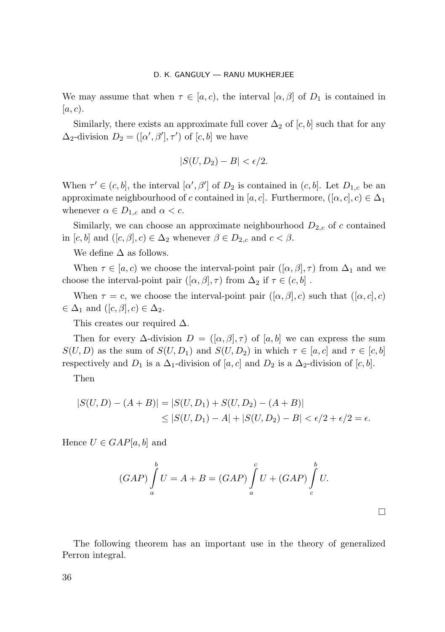We may assume that when  $\tau \in [a, c)$ , the interval  $[\alpha, \beta]$  of  $D_1$  is contained in  $[a, c).$ 

Similarly, there exists an approximate full cover  $\Delta_2$  of [c, b] such that for any  $\Delta_2$ -division  $D_2 = ([\alpha', \beta'], \tau')$  of  $[c, b]$  we have

$$
|S(U, D_2) - B| < \epsilon/2.
$$

When  $\tau' \in (c, b]$ , the interval  $[\alpha', \beta']$  of  $D_2$  is contained in  $(c, b]$ . Let  $D_{1,c}$  be an approximate neighbourhood of c contained in [a, c]. Furthermore,  $([\alpha, c], c) \in \Delta_1$ whenever  $\alpha \in D_{1,c}$  and  $\alpha < c$ .

Similarly, we can choose an approximate neighbourhood  $D_{2,c}$  of c contained in  $[c, b]$  and  $([c, \beta], c) \in \Delta_2$  whenever  $\beta \in D_{2,c}$  and  $c < \beta$ .

We define  $\Delta$  as follows.

When  $\tau \in [a, c)$  we choose the interval-point pair  $([\alpha, \beta], \tau)$  from  $\Delta_1$  and we choose the interval-point pair  $([\alpha, \beta], \tau)$  from  $\Delta_2$  if  $\tau \in (c, b]$ .

When  $\tau = c$ , we choose the interval-point pair  $([\alpha, \beta], c)$  such that  $([\alpha, c], c)$  $\in \Delta_1$  and  $([c, \beta], c) \in \Delta_2$ .

This creates our required  $\Delta$ .

Then for every  $\Delta$ -division  $D = ([\alpha, \beta], \tau)$  of  $[a, b]$  we can express the sum  $S(U, D)$  as the sum of  $S(U, D_1)$  and  $S(U, D_2)$  in which  $\tau \in [a, c]$  and  $\tau \in [c, b]$ respectively and  $D_1$  is a  $\Delta_1$ -division of [a, c] and  $D_2$  is a  $\Delta_2$ -division of [c, b].

Then

$$
|S(U, D) - (A + B)| = |S(U, D_1) + S(U, D_2) - (A + B)|
$$
  
\n
$$
\leq |S(U, D_1) - A| + |S(U, D_2) - B| < \epsilon/2 + \epsilon/2 = \epsilon.
$$

Hence  $U \in GAP[a, b]$  and

$$
(GAP)\int_{a}^{b} U = A + B = (GAP)\int_{a}^{c} U + (GAP)\int_{c}^{b} U.
$$

 $\Box$ 

The following theorem has an important use in the theory of generalized Perron integral.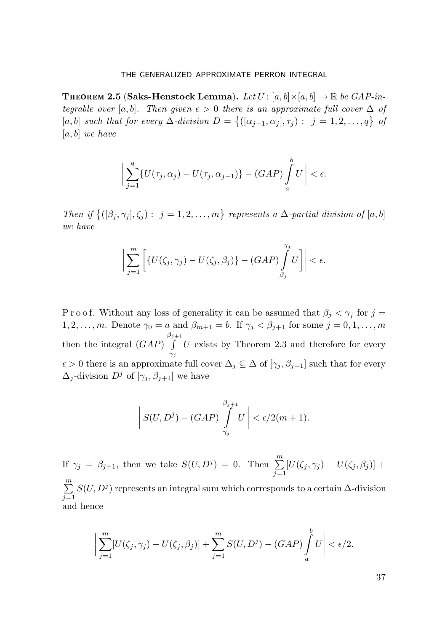**THEOREM 2.5 (Saks-Henstock Lemma).** Let  $U : [a, b] \times [a, b] \rightarrow \mathbb{R}$  be GAP-integrable over [a, b]. Then given  $\epsilon > 0$  there is an approximate full cover  $\Delta$  of  $[a, b]$  such that for every  $\Delta$ -division  $D = \{([\alpha_{j-1}, \alpha_j], \tau_j) : j = 1, 2, \ldots, q\}$  of  $[a, b]$  we have

$$
\bigg|\sum_{j=1}^q \{U(\tau_j,\alpha_j)-U(\tau_j,\alpha_{j-1})\}-(GAP)\int_a^b U\bigg|<\epsilon.
$$

Then if  $\{([\beta_j, \gamma_j], \zeta_j) : j = 1, 2, ..., m\}$  represents a  $\Delta$ -partial division of [a, b] we have

$$
\bigg|\sum_{j=1}^m\bigg[\big\{U(\zeta_j,\gamma_j)-U(\zeta_j,\beta_j)\big\}-\big(GAP\big)\int\limits_{\beta_j}^{\gamma_j}U\bigg]\bigg|<\epsilon.
$$

P r o o f. Without any loss of generality it can be assumed that  $\beta_i < \gamma_i$  for  $j =$ 1, 2,...,m. Denote  $\gamma_0 = a$  and  $\beta_{m+1} = b$ . If  $\gamma_j < \beta_{j+1}$  for some  $j = 0, 1, \ldots, m$ then the integral  $(GAP)$ β  $\int$  $\gamma_j$  $U$  exists by Theorem 2.3 and therefore for every  $\epsilon > 0$  there is an approximate full cover  $\Delta_j \subseteq \Delta$  of  $[\gamma_j, \beta_{j+1}]$  such that for every  $\Delta_j$ -division  $D^j$  of  $[\gamma_j, \beta_{j+1}]$  we have

$$
\left| S(U, D^{j}) - (GAP) \int_{\gamma_{j}}^{\beta_{j+1}} U \right| < \epsilon/2(m+1).
$$

If  $\gamma_j = \beta_{j+1}$ , then we take  $S(U, D^j) = 0$ . Then  $\sum^m$  $\sum_{j=1} [U(\zeta_j,\gamma_j) - U(\zeta_j,\beta_j)] +$  $\sum_{i=1}^{m}$  $j=1$  $S(U, D<sup>j</sup>)$  represents an integral sum which corresponds to a certain ∆-division and hence

$$
\bigg|\sum_{j=1}^m [U(\zeta_j, \gamma_j) - U(\zeta_j, \beta_j)] + \sum_{j=1}^m S(U, D^j) - (GAP) \int_a^b U \bigg| < \epsilon/2.
$$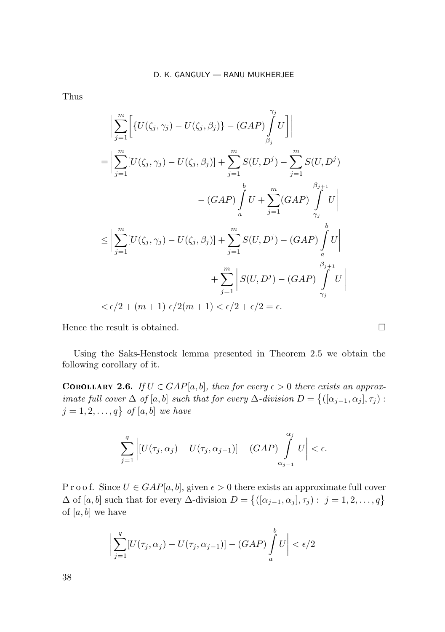Thus

$$
\left| \sum_{j=1}^{m} \left[ \{ U(\zeta_j, \gamma_j) - U(\zeta_j, \beta_j) \} - (GAP) \int_{\beta_j}^{\gamma_j} U \right] \right|
$$
  
\n
$$
= \left| \sum_{j=1}^{m} [U(\zeta_j, \gamma_j) - U(\zeta_j, \beta_j)] + \sum_{j=1}^{m} S(U, D^j) - \sum_{j=1}^{m} S(U, D^j) \right|
$$
  
\n
$$
- (GAP) \int_a^b U + \sum_{j=1}^{m} (GAP) \int_{\gamma_j}^{\beta_{j+1}} U \right|
$$
  
\n
$$
\leq \left| \sum_{j=1}^{m} [U(\zeta_j, \gamma_j) - U(\zeta_j, \beta_j)] + \sum_{j=1}^{m} S(U, D^j) - (GAP) \int_a^b U \right|
$$
  
\n
$$
+ \sum_{j=1}^{m} \left| S(U, D^j) - (GAP) \int_{\gamma_j}^{\beta_{j+1}} U \right|
$$
  
\n
$$
< \epsilon/2 + (m+1) \epsilon/2(m+1) < \epsilon/2 + \epsilon/2 = \epsilon.
$$

 $\overline{\phantom{a}}$  $\overline{\phantom{a}}$  $\overline{\phantom{a}}$  $\overline{a}$ 

Hence the result is obtained.  $\square$ 

 $\overline{\phantom{a}}$  $\overline{\phantom{a}}$  $\overline{\phantom{a}}$  $\overline{\phantom{a}}$ 

Using the Saks-Henstock lemma presented in Theorem 2.5 we obtain the following corollary of it.

**COROLLARY 2.6.** If  $U \in GAP[a, b]$ , then for every  $\epsilon > 0$  there exists an approximate full cover  $\Delta$  of  $[a, b]$  such that for every  $\Delta$ -division  $D = \{([\alpha_{j-1}, \alpha_j], \tau_j) :$  $j = 1, 2, \ldots, q$  of  $[a, b]$  we have

$$
\sum_{j=1}^{q} \left| [U(\tau_j, \alpha_j) - U(\tau_j, \alpha_{j-1})] - (GAP) \int_{\alpha_{j-1}}^{\alpha_j} U \right| < \epsilon.
$$

P r o o f. Since  $U \in \text{GAP}[a, b]$ , given  $\epsilon > 0$  there exists an approximate full cover  $\Delta$  of [a, b] such that for every  $\Delta$ -division  $D = \{([\alpha_{j-1}, \alpha_j], \tau_j) : j = 1, 2, ..., q\}$ of  $[a, b]$  we have

$$
\sum_{j=1}^{q} [U(\tau_j, \alpha_j) - U(\tau_j, \alpha_{j-1})] - (GAP) \int_a^b U \Big| < \epsilon/2
$$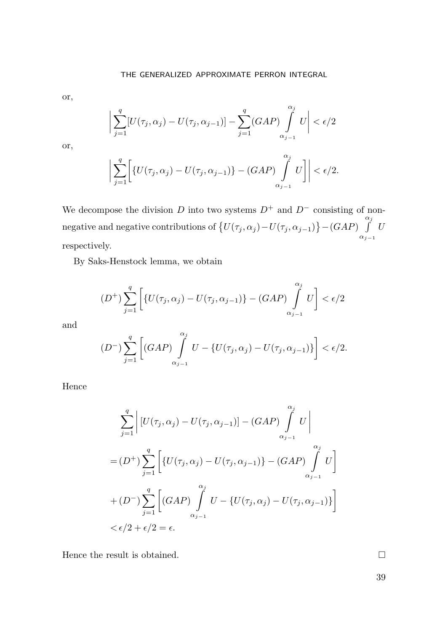or,

$$
\bigg|\sum_{j=1}^q [U(\tau_j,\alpha_j)-U(\tau_j,\alpha_{j-1})]-\sum_{j=1}^q (GAP)\int\limits_{\alpha_{j-1}}^{\alpha_j} U\bigg|<\epsilon/2
$$

or,

$$
\bigg|\sum_{j=1}^q \bigg[\{U(\tau_j,\alpha_j)-U(\tau_j,\alpha_{j-1})\}-(GAP)\int\limits_{\alpha_{j-1}}^{\alpha_j}U\bigg]\bigg| < \epsilon/2.
$$

We decompose the division D into two systems  $D^+$  and  $D^-$  consisting of nonnegative and negative contributions of  $\{U(\tau_j,\alpha_j) - U(\tau_j,\alpha_{j-1})\} - (GAP)$ α $\int$  $\alpha_{j-1}$ U respectively.

By Saks-Henstock lemma, we obtain

$$
(D^+) \sum_{j=1}^q \left[ \{U(\tau_j,\alpha_j) - U(\tau_j,\alpha_{j-1})\} - (GAP) \int\limits_{\alpha_{j-1}}^{\alpha_j} U \right] < \epsilon/2
$$

and

$$
(D^{-})\sum_{j=1}^{q}\left[(GAP)\int_{\alpha_{j-1}}^{\alpha_j}U - \{U(\tau_j,\alpha_j) - U(\tau_j,\alpha_{j-1})\}\right] < \epsilon/2.
$$

Hence

$$
\sum_{j=1}^{q} \left| \left[ U(\tau_j, \alpha_j) - U(\tau_j, \alpha_{j-1}) \right] - (GAP) \int_{\alpha_{j-1}}^{\alpha_j} U \right|
$$
  
=  $(D^+) \sum_{j=1}^{q} \left[ \left\{ U(\tau_j, \alpha_j) - U(\tau_j, \alpha_{j-1}) \right\} - (GAP) \int_{\alpha_{j-1}}^{\alpha_j} U \right]$   
+  $(D^-) \sum_{j=1}^{q} \left[ (GAP) \int_{\alpha_{j-1}}^{\alpha_j} U - \left\{ U(\tau_j, \alpha_j) - U(\tau_j, \alpha_{j-1}) \right\} \right]$   
 $< \epsilon/2 + \epsilon/2 = \epsilon.$ 

Hence the result is obtained.  $\Box$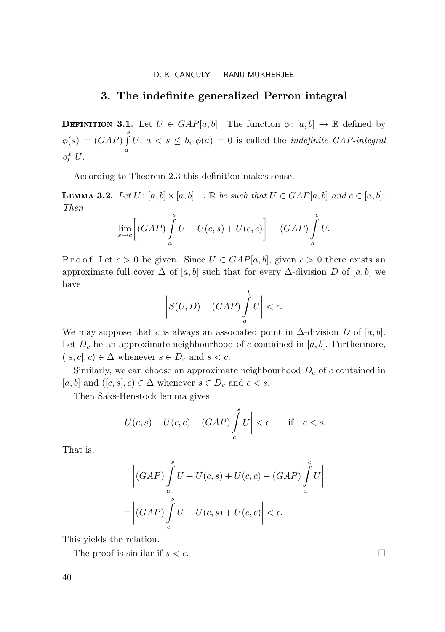## 3. The indefinite generalized Perron integral

**DEFINITION 3.1.** Let  $U \in \text{GAP}[a, b]$ . The function  $\phi: [a, b] \to \mathbb{R}$  defined by  $\phi(s)=(GAP)\int\limits_{0}^{s}$ a U,  $a < s \leq b$ ,  $\phi(a) = 0$  is called the *indefinite GAP-integral* of U.

According to Theorem 2.3 this definition makes sense.

**LEMMA 3.2.** Let  $U: [a, b] \times [a, b] \to \mathbb{R}$  be such that  $U \in GAP[a, b]$  and  $c \in [a, b]$ . Then

$$
\lim_{s \to c} \left[ (GAP) \int_a^s U - U(c, s) + U(c, c) \right] = (GAP) \int_a^c U.
$$

P r o o f. Let  $\epsilon > 0$  be given. Since  $U \in \text{GAP}[a, b]$ , given  $\epsilon > 0$  there exists an approximate full cover  $\Delta$  of [a, b] such that for every  $\Delta$ -division D of [a, b] we have

$$
\left|S(U,D)-(GAP)\int_a^b U\right|<\epsilon.
$$

We may suppose that c is always an associated point in  $\Delta$ -division D of [a, b]. Let  $D_c$  be an approximate neighbourhood of c contained in [a, b]. Furthermore,  $([s, c], c) \in \Delta$  whenever  $s \in D_c$  and  $s < c$ .

Similarly, we can choose an approximate neighbourhood  $D_c$  of c contained in [a, b] and  $([c, s], c) \in \Delta$  whenever  $s \in D_c$  and  $c < s$ .

Then Saks-Henstock lemma gives

$$
\left| U(c,s) - U(c,c) - (GAP) \int_{c}^{s} U \right| < \epsilon \quad \text{if} \quad c < s.
$$

That is,

$$
\left| (GAP) \int_{a}^{s} U - U(c, s) + U(c, c) - (GAP) \int_{a}^{c} U \right|
$$
  
= 
$$
\left| (GAP) \int_{c}^{s} U - U(c, s) + U(c, c) \right| < \epsilon.
$$

This yields the relation.

The proof is similar if  $s < c$ .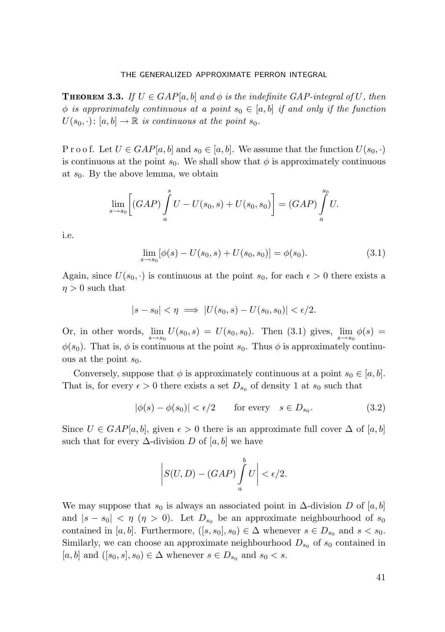**THEOREM 3.3.** If  $U \in \text{GAP}[a, b]$  and  $\phi$  is the indefinite GAP-integral of U, then  $\phi$  is approximately continuous at a point  $s_0 \in [a, b]$  if and only if the function  $U(s_0, \cdot): [a, b] \to \mathbb{R}$  is continuous at the point  $s_0$ .

P r o o f. Let  $U \in GAP[a, b]$  and  $s_0 \in [a, b]$ . We assume that the function  $U(s_0, \cdot)$ is continuous at the point  $s_0$ . We shall show that  $\phi$  is approximately continuous at  $s_0$ . By the above lemma, we obtain

$$
\lim_{s \to s_0} \left[ (GAP) \int_a^s U - U(s_0, s) + U(s_0, s_0) \right] = (GAP) \int_a^{s_0} U.
$$

i.e.

$$
\lim_{s \to s_0} [\phi(s) - U(s_0, s) + U(s_0, s_0)] = \phi(s_0). \tag{3.1}
$$

Again, since  $U(s_0, \cdot)$  is continuous at the point  $s_0$ , for each  $\epsilon > 0$  there exists a  $\eta > 0$  such that

$$
|s - s_0| < \eta \implies |U(s_0, s) - U(s_0, s_0)| < \epsilon/2.
$$

Or, in other words,  $\lim_{s \to s_0} U(s_0, s) = U(s_0, s_0)$ . Then (3.1) gives,  $\lim_{s \to s_0} \phi(s) =$  $\phi(s_0)$ . That is,  $\phi$  is continuous at the point  $s_0$ . Thus  $\phi$  is approximately continuous at the point  $s_0$ .

Conversely, suppose that  $\phi$  is approximately continuous at a point  $s_0 \in [a, b]$ . That is, for every  $\epsilon > 0$  there exists a set  $D_{s_0}$  of density 1 at  $s_0$  such that

$$
|\phi(s) - \phi(s_0)| < \epsilon/2 \qquad \text{for every} \quad s \in D_{s_0}.\tag{3.2}
$$

Since  $U \in \text{GAP}[a, b]$ , given  $\epsilon > 0$  there is an approximate full cover  $\Delta$  of  $[a, b]$ such that for every  $\Delta$ -division D of [a, b] we have

$$
\left|S(U,D)-(GAP)\int_a^b U\right|<\epsilon/2.
$$

We may suppose that  $s_0$  is always an associated point in  $\Delta$ -division D of [a, b] and  $|s - s_0| < \eta \ (\eta > 0)$ . Let  $D_{s_0}$  be an approximate neighbourhood of  $s_0$ contained in [a, b]. Furthermore,  $([s, s_0], s_0) \in \Delta$  whenever  $s \in D_{s_0}$  and  $s < s_0$ . Similarly, we can choose an approximate neighbourhood  $D_{s_0}$  of  $s_0$  contained in  $[a, b]$  and  $([s_0, s], s_0) \in \Delta$  whenever  $s \in D_{s_0}$  and  $s_0 < s$ .